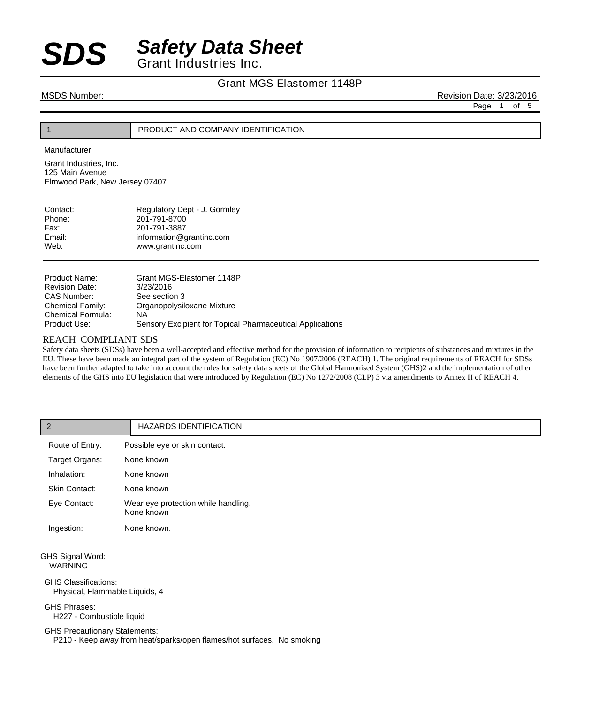#### Grant MGS-Elastomer 1148P

MSDS Number: Revision Date: 3/23/2016

Page 1 of 5

### 1 PRODUCT AND COMPANY IDENTIFICATION

Manufacturer

Grant Industries, Inc. 125 Main Avenue Elmwood Park, New Jersey 07407

| Contact: | Regulatory Dept - J. Gormley |
|----------|------------------------------|
| Phone:   | 201-791-8700                 |
| Fax:     | 201-791-3887                 |
| Email:   | information@grantinc.com     |
| Web:     | www.grantinc.com             |
|          |                              |

| Product Name:         | Grant MGS-Elastomer 1148P                                 |
|-----------------------|-----------------------------------------------------------|
| <b>Revision Date:</b> | 3/23/2016                                                 |
| CAS Number:           | See section 3                                             |
| Chemical Family:      | Organopolysiloxane Mixture                                |
| Chemical Formula:     | ΝA                                                        |
| Product Use:          | Sensory Excipient for Topical Pharmaceutical Applications |

#### REACH COMPLIANT SDS

Safety data sheets (SDSs) have been a well-accepted and effective method for the provision of information to recipients of substances and mixtures in the EU. These have been made an integral part of the system of Regulation (EC) No 1907/2006 (REACH) 1. The original requirements of REACH for SDSs have been further adapted to take into account the rules for safety data sheets of the Global Harmonised System (GHS)2 and the implementation of other elements of the GHS into EU legislation that were introduced by Regulation (EC) No 1272/2008 (CLP) 3 via amendments to Annex II of REACH 4.

| $\overline{2}$                                                                                      | <b>HAZARDS IDENTIFICATION</b>                                          |
|-----------------------------------------------------------------------------------------------------|------------------------------------------------------------------------|
| Route of Entry:                                                                                     | Possible eye or skin contact.                                          |
| Target Organs:                                                                                      | None known                                                             |
| Inhalation:                                                                                         | None known                                                             |
| Skin Contact:                                                                                       | None known                                                             |
| Eye Contact:                                                                                        | Wear eye protection while handling.<br>None known                      |
| Ingestion:                                                                                          | None known.                                                            |
| GHS Signal Word:<br><b>WARNING</b><br><b>GHS Classifications:</b><br>Physical, Flammable Liquids, 4 |                                                                        |
| <b>GHS Phrases:</b><br>H227 - Combustible liquid                                                    |                                                                        |
| <b>GHS Precautionary Statements:</b>                                                                | P210 - Keep away from heat/sparks/open flames/hot surfaces. No smoking |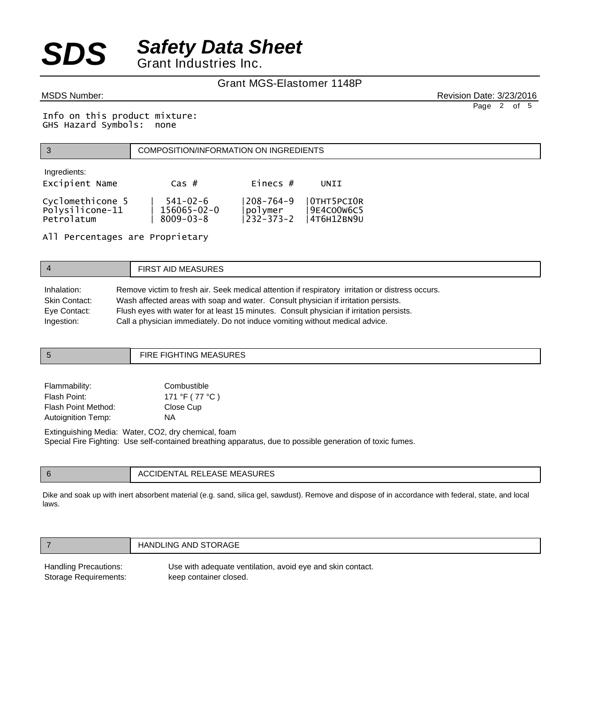### Grant MGS-Elastomer 1148P

MSDS Number: Revision Date: 3/23/2016 Page 2 of 5

Info on this product mixture: GHS Hazard Symbols: none

|                                                   | COMPOSITION/INFORMATION ON INGREDIENTS                 |                                           |                                         |  |
|---------------------------------------------------|--------------------------------------------------------|-------------------------------------------|-----------------------------------------|--|
| Ingredients:<br>Excipient Name                    | $\text{Cas }#$                                         | Einecs $#$                                | UNII                                    |  |
| Cyclomethicone 5<br>Polysilicone-11<br>Petrolatum | $541 - 02 - 6$<br>$156065 - 02 - 0$<br>$8009 - 03 - 8$ | $208 - 764 - 9$<br>polymer<br>' 232-373-2 | OTHT5PCIOR<br>9E4CO0W6C5<br> 4T6H12BN9U |  |

All Percentages are Proprietary

| $\overline{4}$ | <b>FIRST AID MEASURES</b>                                                                        |
|----------------|--------------------------------------------------------------------------------------------------|
| Inhalation:    | Remove victim to fresh air. Seek medical attention if respiratory irritation or distress occurs. |
| Skin Contact:  | Wash affected areas with soap and water. Consult physician if irritation persists.               |
| Eye Contact:   | Flush eyes with water for at least 15 minutes. Consult physician if irritation persists.         |
| Ingestion:     | Call a physician immediately. Do not induce vomiting without medical advice.                     |

|              | FIRE FIGHTING MEASURES |
|--------------|------------------------|
|              |                        |
| Elemmetriitu | $C$ ambuatibla         |

| Flammability:       | Combustible    |
|---------------------|----------------|
| Flash Point:        | 171 °F (77 °C) |
| Flash Point Method: | Close Cup      |
| Autoignition Temp:  | NA.            |

Extinguishing Media: Water, CO2, dry chemical, foam Special Fire Fighting: Use self-contained breathing apparatus, due to possible generation of toxic fumes.

|  | MCACIIDEC<br><b>-105</b><br>.<br>Δ(<br>ELEASE ME<br>-ASURES<br>יי<br>$\mathbf{L}$<br>. |
|--|----------------------------------------------------------------------------------------|
|--|----------------------------------------------------------------------------------------|

Dike and soak up with inert absorbent material (e.g. sand, silica gel, sawdust). Remove and dispose of in accordance with federal, state, and local laws.

|                       | HANDLING AND STORAGE                                       |  |  |
|-----------------------|------------------------------------------------------------|--|--|
| Handling Precautions: | Use with adequate ventilation, avoid eye and skin contact. |  |  |
| Storage Requirements: | keep container closed.                                     |  |  |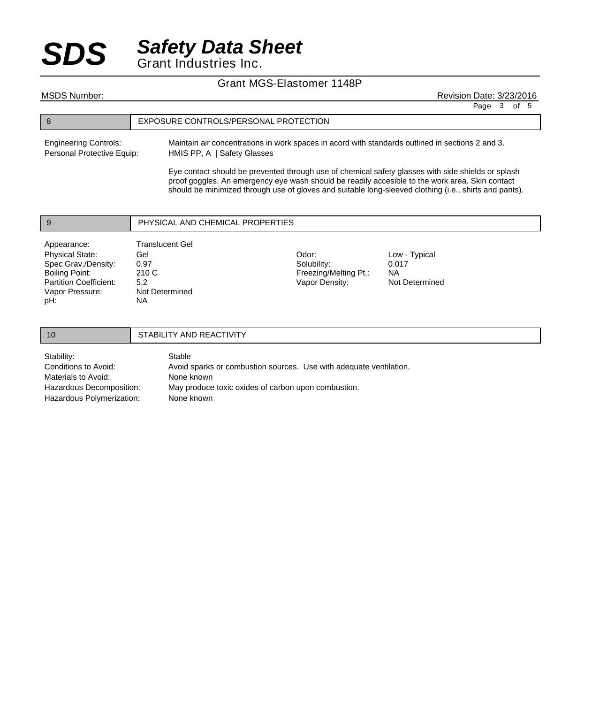#### Grant MGS-Elastomer 1148P

8 EXPOSURE CONTROLS/PERSONAL PROTECTION Maintain air concentrations in work spaces in acord with standards outlined in sections 2 and 3. HMIS PP, A | Safety Glasses Engineering Controls: Personal Protective Equip: MSDS Number: Revision Date: 3/23/2016 Page 3 of 5

> Eye contact should be prevented through use of chemical safety glasses with side shields or splash proof goggles. An emergency eye wash should be readily accesible to the work area. Skin contact should be minimized through use of gloves and suitable long-sleeved clothing (i.e., shirts and pants).

| Vapor Pressure:<br>pH:        | Not Determined<br><b>NA</b>      |                       |                |  |  |
|-------------------------------|----------------------------------|-----------------------|----------------|--|--|
| <b>Partition Coefficient:</b> | 5.2                              | Vapor Density:        | Not Determined |  |  |
| Boiling Point:                | 210 C                            | Freezing/Melting Pt.: | <b>NA</b>      |  |  |
| Spec Grav./Density:           | 0.97                             | Solubility:           | 0.017          |  |  |
| <b>Physical State:</b>        | Gel                              | Odor:                 | Low - Typical  |  |  |
| Appearance:                   | <b>Translucent Gel</b>           |                       |                |  |  |
|                               |                                  |                       |                |  |  |
| 9                             | PHYSICAL AND CHEMICAL PROPERTIES |                       |                |  |  |

10 STABILITY AND REACTIVITY Stable Avoid sparks or combustion sources. Use with adequate ventilation. None known May produce toxic oxides of carbon upon combustion. None known Stability: Conditions to Avoid: Materials to Avoid: Hazardous Decomposition: Hazardous Polymerization: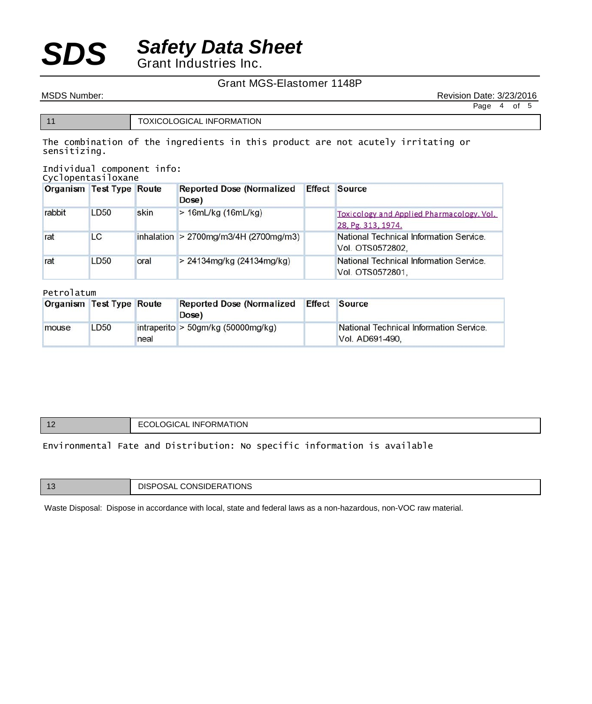### Grant MGS-Elastomer 1148P

MSDS Number: **Revision Date: 3/23/2016** Page 4 of 5

11 **TOXICOLOGICAL INFORMATION** 

The combination of the ingredients in this product are not acutely irritating or sensitizing.

Individual component info:

|        | <b>Organism Test Type Route</b> |      | <b>Reported Dose (Normalized</b><br>Dose) | <b>Effect Source</b>                                                   |
|--------|---------------------------------|------|-------------------------------------------|------------------------------------------------------------------------|
| rabbit | LD50                            | skin | > 16mL/kg (16mL/kg)                       | <b>Toxicology and Applied Pharmacology. Vol.</b><br>28, Pg. 313, 1974. |
| rat    | LC                              |      | inhalation > 2700mg/m3/4H (2700mg/m3)     | National Technical Information Service.<br>Vol. OTS0572802,            |
| rat    | LD50                            | oral | > 24134mg/kg (24134mg/kg)                 | National Technical Information Service.<br>Vol. OTS0572801,            |

#### Petrolatum

| Organism Test Type Route |             |      | <b>Reported Dose (Normalized</b><br>Dose) | <b>Effect</b> | Source                                                     |
|--------------------------|-------------|------|-------------------------------------------|---------------|------------------------------------------------------------|
| mouse                    | <b>LD50</b> | neal | intraperito > $50gm/kg (50000mg/kg)$      |               | National Technical Information Service.<br>Vol. AD691-490. |

| -12 | <b>I ECOLOGICAL INFORMATION</b> |
|-----|---------------------------------|
|     |                                 |

### Environmental Fate and Distribution: No specific information is available

| -13 | DISPOSAL CONSIDERATIONS |
|-----|-------------------------|
|-----|-------------------------|

Waste Disposal: Dispose in accordance with local, state and federal laws as a non-hazardous, non-VOC raw material.